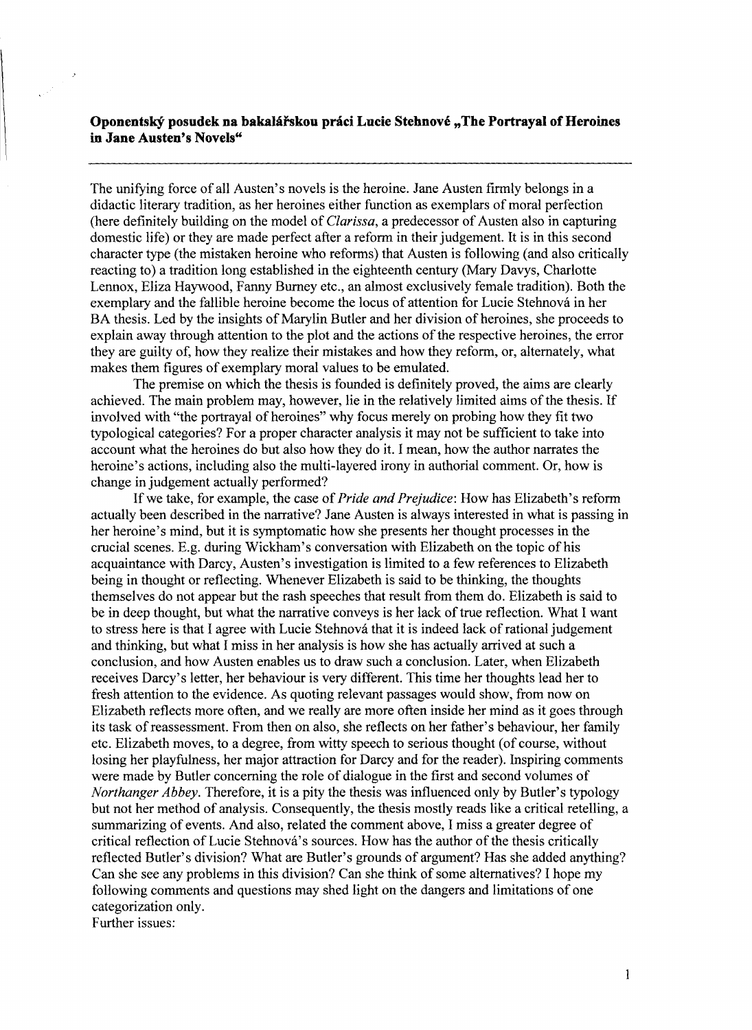## **Oponentský posudek na bakalářskou práci Lucie Stehnové "The Portrayal of Heroines in Jane Austen's Novels"**

The unifying force of all Austen's novels is the heroine. Jane Austen firmly belongs in a didactic literary tradition, as her heroines either function as exemplars of moral perfection (here definitely building on the model of *Clarissa,* a predecessor of Austen also in capturing domestic life) or they are made perfect after a reform in their judgement. It is in this second character type (the mistaken heroine who reforms) that Austen is following (and also critically reacting to) a tradition long established in the eighteenth century (Mary Davys, Charlotte Lennox, Eliza Haywood, Fanny Burney etc., an almost exclusively female tradition). Both the exemplary and the fallible heroine become the locus of attention for Lucie Stehnová in her BA thesis. Led by the insights of Marylin Butler and her division of heroines, she proceeds to explain away through attention to the plot and the actions of the respective heroines, the error they are guilty of, how they realize their mistakes and how they reform, or, alternately, what makes them figures of exemplary moral values to be emulated.

The premise on which the thesis is founded is definitely proved, the aims are clearly achieved. The main problem may, however, lie in the relatively limited aims of the thesis. If involved with "the portrayal of heroines" why focus merely on probing how they fit two typological categories? For a proper character analysis it may not be sufficient to take into account what the heroines do but also how they do it. I mean, how the author narrates the heroine's actions, including also the multi-layered irony in authorial comment. Or, how is change in judgement actually performed?

If we take, for example, the case of *Pride and Prejudice:* How has Elizabeth's reform actually been described in the narrative? lane Austen is always interested in what is passing in her heroine's mind, but it is symptomatic how she presents her thought processes in the crucial scenes. E.g. during Wickham's conversation with Elizabeth on the topic of his acquaintance with Darcy, Austen's investigation is limited to a few references to Elizabeth being in thought or reflecting. Whenever Elizabeth is said to be thinking, the thoughts themselves do not appear but the rash speeches that result from them do. Elizabeth is said to be in deep thought, but what the narrative conveys is her lack of true reflection. What I want to stress here is that I agree with Lucie Stehnová that it is indeed lack of rational judgement and thinking, but what I miss in her analysis is how she has actually arrived at such a conclusion, and how Austen enables us to draw such a conclusion. Later, when Elizabeth receives Darcy's letter, her behaviour is very different. This time her thoughts lead her to fresh attention to the evidence. As quoting relevant passages would show, from now on Elizabeth reflects more often, and we really are more often inside her mind as it goes through its task of reassessment. From then on also, she reflects on her father's behaviour, her family etc. Elizabeth moves, to a degree, from witty speech to serious thought (of course, without losing her playfulness, her major attraction for Darcy and for the reader). Inspiring comments were made by Butler concerning the role of dialogue in the first and second volumes of *Northanger Abbey.* Therefore, it is a pity the thesis was influenced only by Butler's typology but not her method of analysis. Consequently, the thesis mostly reads like a critical retelling, a summarizing of events. And also, related the comment above, I miss a greater degree of critical reflection of Lucie Stehnova's sources. How has the author of the thesis critically reflected Butler's division? What are Butler's grounds of argument? Has she added anything? Can she see any problems in this division? Can she think of some alternatives? I hope my following comments and questions may shed light on the dangers and limitations of one categorization only. Further issues: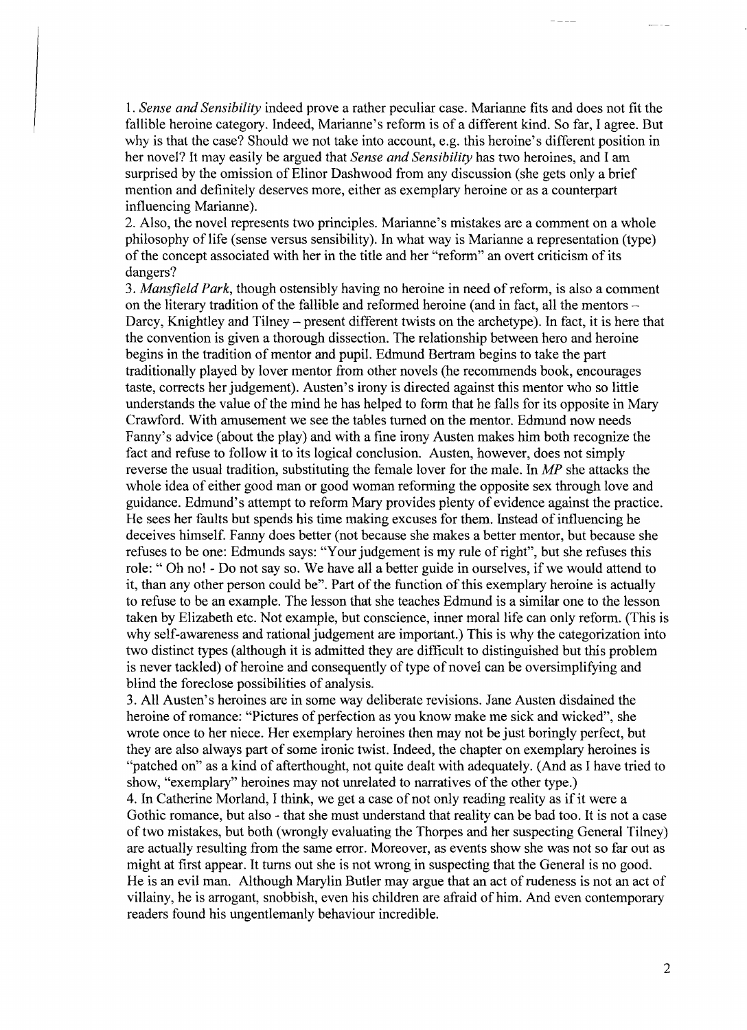*1. Sense and Sensibility* indeed prove a rather peculiar case. Marianne fits and does not fit the fallible heroine category. Indeed, Marianne's reform is of a different kind. So far, I agree. But why is that the case? Should we not take into account, e.g. this heroine's different position in her novel? It may easily be argued that *Sense and Sensibility* has two heroines, and I am surprised by the omission of Elinor Dashwood from any discussion (she gets only a brief mention and definitely deserves more, either as exemplary heroine or as a counterpart influencing Marianne).

2. Also, the novel represents two principles. Marianne's mistakes are a comment on a whole philosophy of life (sense versus sensibility). In what way is Marianne a representation (type) of the concept associated with her in the title and her "reform" an overt criticism of its dangers?

*3. Mansfield Park,* though ostensibly having no heroine in need of reform, is also a comment on the literary tradition of the fallible and reformed heroine (and in fact, all the mentors -Darcy, Knightley and Tilney – present different twists on the archetype). In fact, it is here that the convention is given a thorough dissection. The relationship between hero and heroine begins in the tradition of mentor and pupil. Edmund Bertram begins to take the part traditionally played by lover mentor from other novels (he recommends book, encourages taste, corrects her judgement). Austen's irony is directed against this mentor who so little understands the value of the mind he has helped to form that he falls for its opposite in Mary Crawford. With amusement we see the tables turned on the mentor. Edmund now needs Panny's advice (about the play) and with a fine irony Austen makes him both recognize the fact and refuse to follow it to its logical conclusion. Austen, however, does not simply reverse the usual tradition, substituting the female lover for the male. In *MP* she attacks the whole idea of either good man or good woman reforming the opposite sex through love and guidance. Edmund's attempt to reform Mary provides plenty of evidence against the practice. He sees her faults but spends his time making excuses for them. Instead of influencing he deceives himself. Fanny does better (not because she makes a better mentor, but because she refuses to be one: Edmunds says: "Your judgement is my rule of right", but she refuses this role: " Oh no! - Do not say so. We have all a better guide in ourselves, if we would attend to it, than any other person could be". Part of the function of this exemplary heroine is actually to refuse to be an example. The lesson that she teaches Edmund is a similar one to the lesson taken by Elizabeth etc. Not example, but conscience, inner moral life can only reform. (This is why self-awareness and rational judgement are important.) This is why the categorization into two distinct types (although it is admitted they are difficult to distinguished but this problem is never tackled) of heroine and consequently of type of novel can be oversimplifying and blind the foreclose possibilities of analysis.

3. All Austen's heroines are in some way deliberate revisions. Jane Austen disdained the heroine of romance: "Pictures of perfection as you know make me sick and wicked", she wrote once to her niece. Her exemplary heroines then may not be just boringly perfect, but they are also always part of some ironic twist. Indeed, the chapter on exemplary heroines is "patched on" as a kind of afterthought, not quite dealt with adequately. (And as I have tried to show, "exemplary" heroines may not unrelated to narratives of the other type.)

4. In Catherine Morland, I think, we get a case of not only reading reality as if it were a Gothic romance, but also - that she must understand that reality can be bad too. It is not a case of two mistakes, but both (wrongly evaluating the Thorpes and her suspecting General Tilney) are actually resulting from the same error. Moreover, as events show she was not so far out as might at first appear. It turns out she is not wrong in suspecting that the General is no good. He is an evil man. Although Marylin Butler may argue that an act of rudeness is not an act of villainy, he is arrogant, snobbish, even his children are afraid of him. And even contemporary readers found his ungentlemanly behaviour incredible.